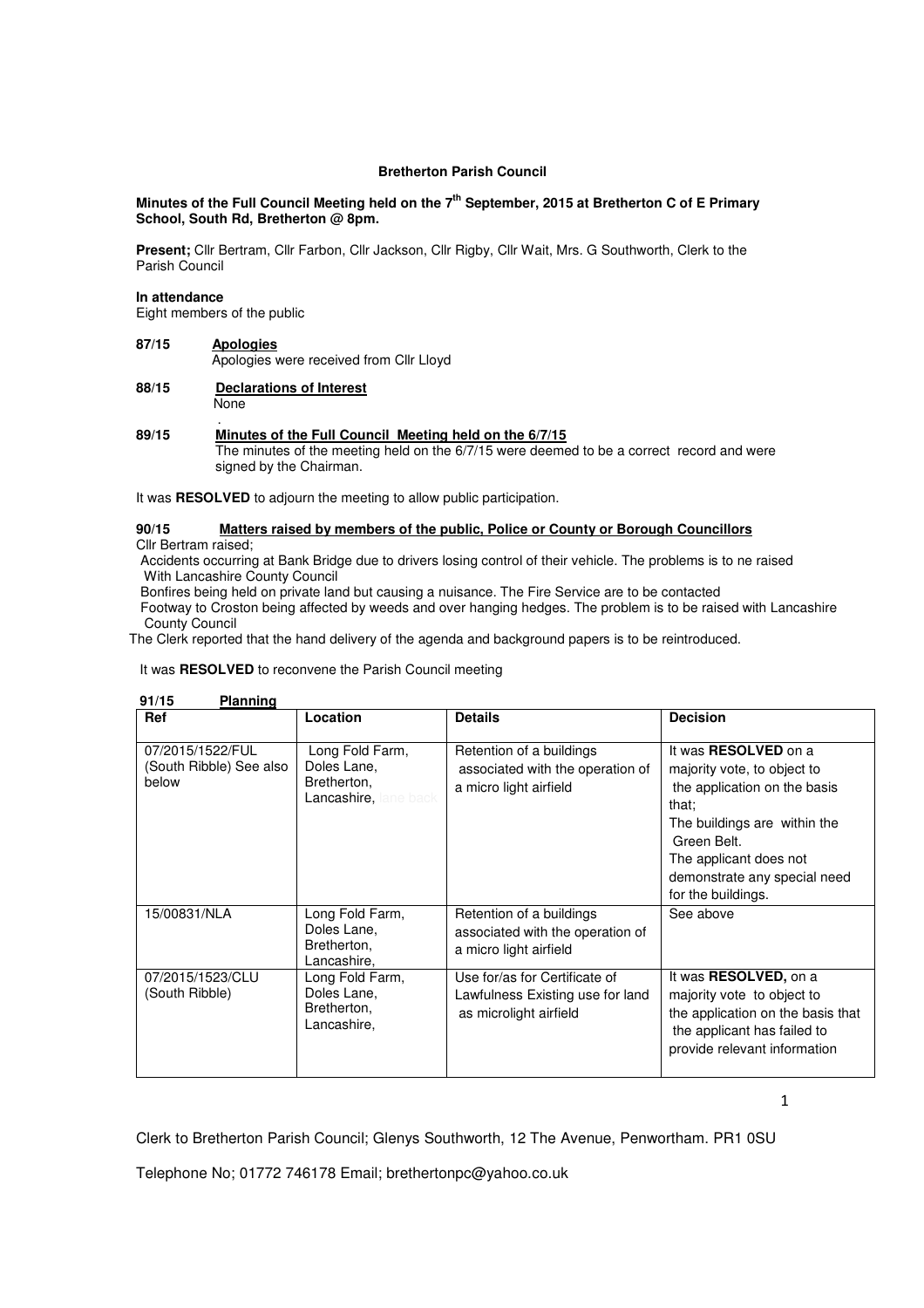# **Bretherton Parish Council**

# **Minutes of the Full Council Meeting held on the 7th September, 2015 at Bretherton C of E Primary School, South Rd, Bretherton @ 8pm.**

Present; Cllr Bertram, Cllr Farbon, Cllr Jackson, Cllr Rigby, Cllr Wait, Mrs. G Southworth, Clerk to the Parish Council

### **In attendance**

Eight members of the public

- **87/15 Apologies** Apologies were received from Cllr Lloyd
- **88/15 Declarations of Interest None**

### . **89/15 Minutes of the Full Council Meeting held on the 6/7/15**

 The minutes of the meeting held on the 6/7/15 were deemed to be a correct record and were signed by the Chairman.

It was **RESOLVED** to adjourn the meeting to allow public participation.

# **90/15 Matters raised by members of the public, Police or County or Borough Councillors**

Cllr Bertram raised;

 Accidents occurring at Bank Bridge due to drivers losing control of their vehicle. The problems is to ne raised With Lancashire County Council

Bonfires being held on private land but causing a nuisance. The Fire Service are to be contacted

 Footway to Croston being affected by weeds and over hanging hedges. The problem is to be raised with Lancashire County Council

The Clerk reported that the hand delivery of the agenda and background papers is to be reintroduced.

It was **RESOLVED** to reconvene the Parish Council meeting

| Ref                                                  | Location                                                                      | <b>Details</b>                                                                              | <b>Decision</b>                                                                                                                                                                                                             |
|------------------------------------------------------|-------------------------------------------------------------------------------|---------------------------------------------------------------------------------------------|-----------------------------------------------------------------------------------------------------------------------------------------------------------------------------------------------------------------------------|
| 07/2015/1522/FUL<br>(South Ribble) See also<br>below | Long Fold Farm,<br>Doles Lane,<br>Bretherton,<br><b>Lancashire, lane back</b> | Retention of a buildings<br>associated with the operation of<br>a micro light airfield      | It was RESOLVED on a<br>majority vote, to object to<br>the application on the basis<br>that;<br>The buildings are within the<br>Green Belt.<br>The applicant does not<br>demonstrate any special need<br>for the buildings. |
| 15/00831/NLA                                         | Long Fold Farm,<br>Doles Lane,<br>Bretherton.<br>Lancashire,                  | Retention of a buildings<br>associated with the operation of<br>a micro light airfield      | See above                                                                                                                                                                                                                   |
| 07/2015/1523/CLU<br>(South Ribble)                   | Long Fold Farm,<br>Doles Lane,<br>Bretherton,<br>Lancashire,                  | Use for/as for Certificate of<br>Lawfulness Existing use for land<br>as microlight airfield | It was <b>RESOLVED</b> , on a<br>majority vote to object to<br>the application on the basis that<br>the applicant has failed to<br>provide relevant information                                                             |

 $91/15$ **Planning** 

1

Clerk to Bretherton Parish Council; Glenys Southworth, 12 The Avenue, Penwortham. PR1 0SU

Telephone No; 01772 746178 Email; brethertonpc@yahoo.co.uk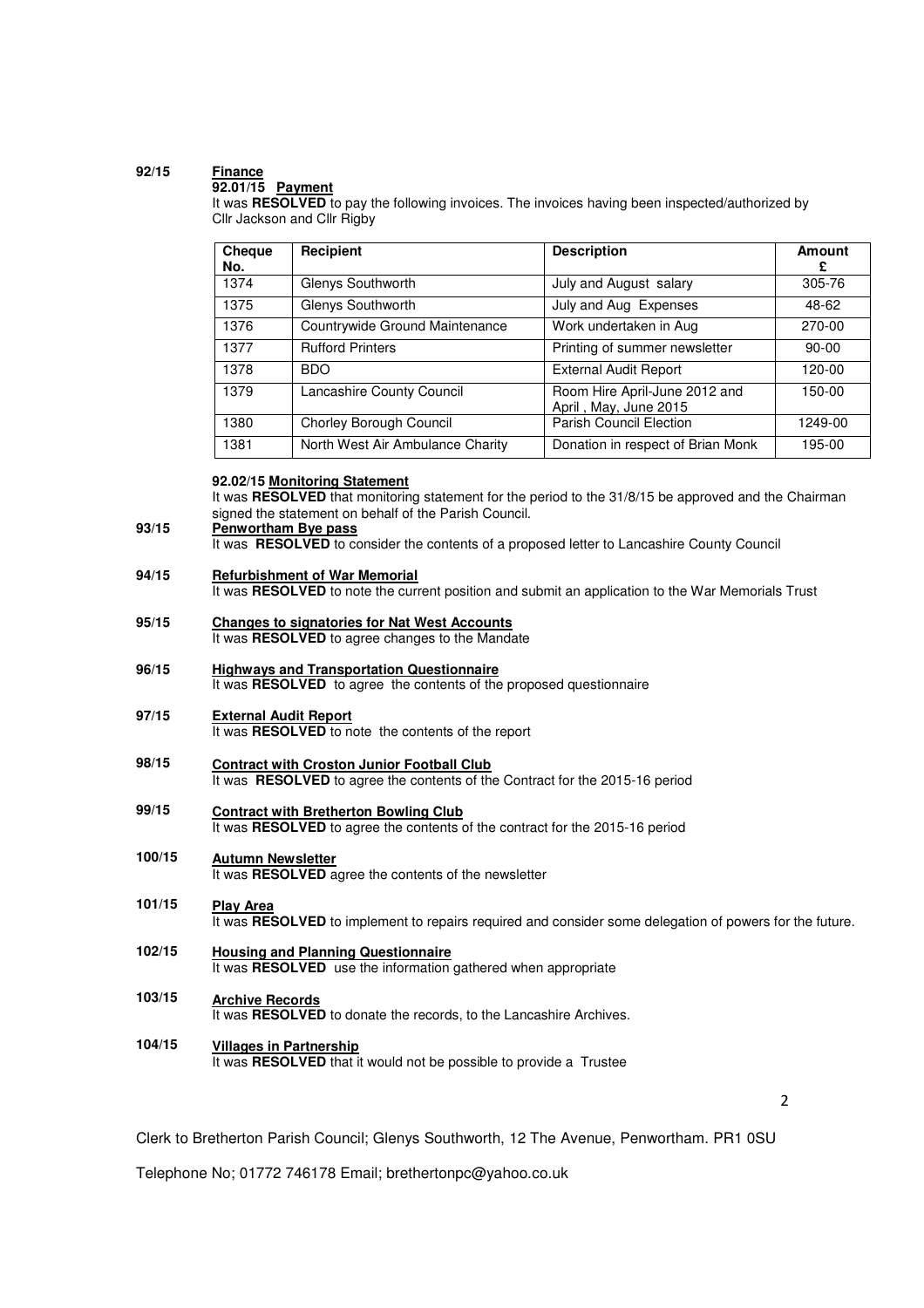# **92/15 Finance**

## **92.01/15 Payment**

It was **RESOLVED** to pay the following invoices. The invoices having been inspected/authorized by Cllr Jackson and Cllr Rigby

| Cheque<br>No. | Recipient                        | <b>Description</b>                                     | Amount<br>£ |
|---------------|----------------------------------|--------------------------------------------------------|-------------|
| 1374          | Glenys Southworth                | July and August salary                                 | 305-76      |
| 1375          | Glenys Southworth                | July and Aug Expenses                                  | 48-62       |
| 1376          | Countrywide Ground Maintenance   | Work undertaken in Aug                                 | 270-00      |
| 1377          | <b>Rufford Printers</b>          | Printing of summer newsletter                          | $90 - 00$   |
| 1378          | BDO.                             | <b>External Audit Report</b>                           | 120-00      |
| 1379          | Lancashire County Council        | Room Hire April-June 2012 and<br>April, May, June 2015 | 150-00      |
| 1380          | Chorley Borough Council          | <b>Parish Council Election</b>                         | 1249-00     |
| 1381          | North West Air Ambulance Charity | Donation in respect of Brian Monk                      | 195-00      |

# **92.02/15 Monitoring Statement**

It was **RESOLVED** that monitoring statement for the period to the 31/8/15 be approved and the Chairman signed the statement on behalf of the Parish Council.

#### **93/15 Penwortham Bye pass**

It was **RESOLVED** to consider the contents of a proposed letter to Lancashire County Council

#### **94/15 Refurbishment of War Memorial**

It was **RESOLVED** to note the current position and submit an application to the War Memorials Trust

- **95/15 Changes to signatories for Nat West Accounts** It was **RESOLVED** to agree changes to the Mandate
- **96/15 Highways and Transportation Questionnaire** It was **RESOLVED** to agree the contents of the proposed questionnaire
- **97/15 External Audit Report** It was **RESOLVED** to note the contents of the report
- **98/15 Contract with Croston Junior Football Club** It was **RESOLVED** to agree the contents of the Contract for the 2015-16 period
- **99/15 Contract with Bretherton Bowling Club** It was **RESOLVED** to agree the contents of the contract for the 2015-16 period

### **100/15 Autumn Newsletter**

It was **RESOLVED** agree the contents of the newsletter

- **101/15 Play Area** It was **RESOLVED** to implement to repairs required and consider some delegation of powers for the future.
- **102/15 Housing and Planning Questionnaire** It was **RESOLVED** use the information gathered when appropriate
- **103/15 Archive Records** It was **RESOLVED** to donate the records, to the Lancashire Archives.
- **104/15 Villages in Partnership** It was **RESOLVED** that it would not be possible to provide a Trustee

 $\overline{\phantom{a}}$ 

Clerk to Bretherton Parish Council; Glenys Southworth, 12 The Avenue, Penwortham. PR1 0SU

Telephone No; 01772 746178 Email; brethertonpc@yahoo.co.uk